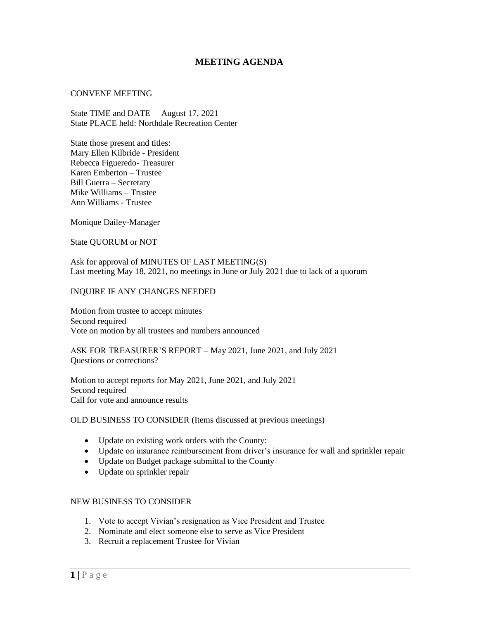## **MEETING AGENDA**

## CONVENE MEETING

State TIME and DATE August 17, 2021 State PLACE held: Northdale Recreation Center

State those present and titles: Mary Ellen Kilbride - President Rebecca Figueredo- Treasurer Karen Emberton – Trustee Bill Guerra – Secretary Mike Williams – Trustee Ann Williams - Trustee

Monique Dailey-Manager

State QUORUM or NOT

Ask for approval of MINUTES OF LAST MEETING(S) Last meeting May 18, 2021, no meetings in June or July 2021 due to lack of a quorum

## INQUIRE IF ANY CHANGES NEEDED

Motion from trustee to accept minutes Second required Vote on motion by all trustees and numbers announced

ASK FOR TREASURER'S REPORT – May 2021, June 2021, and July 2021 Questions or corrections?

Motion to accept reports for May 2021, June 2021, and July 2021 Second required Call for vote and announce results

OLD BUSINESS TO CONSIDER (Items discussed at previous meetings)

- Update on existing work orders with the County:
- Update on insurance reimbursement from driver's insurance for wall and sprinkler repair
- Update on Budget package submittal to the County
- Update on sprinkler repair

## NEW BUSINESS TO CONSIDER

- 1. Vote to accept Vivian's resignation as Vice President and Trustee
- 2. Nominate and elect someone else to serve as Vice President
- 3. Recruit a replacement Trustee for Vivian